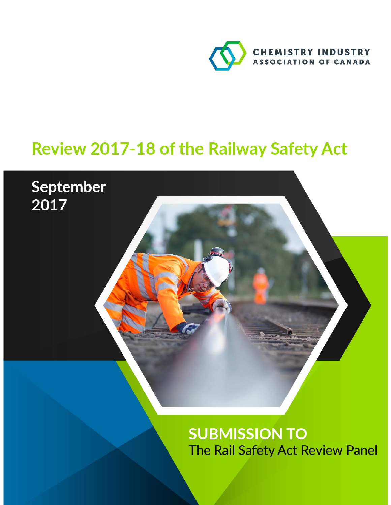

# Review 2017-18 of the Railway Safety Act

September

2017

**SUBMISSION TO** The Rail Safety Act Review Panel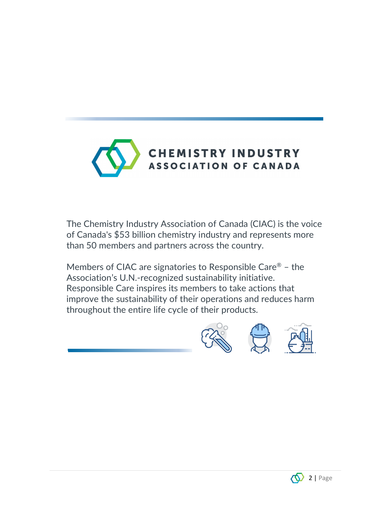

The Chemistry Industry Association of Canada (CIAC) is the voice of Canada's \$53 billion chemistry industry and represents more than 50 members and partners across the country.

Members of CIAC are signatories to Responsible Care® – the Association's U.N.-recognized sustainability initiative. Responsible Care inspires its members to take actions that improve the sustainability of their operations and reduces harm throughout the entire life cycle of their products.





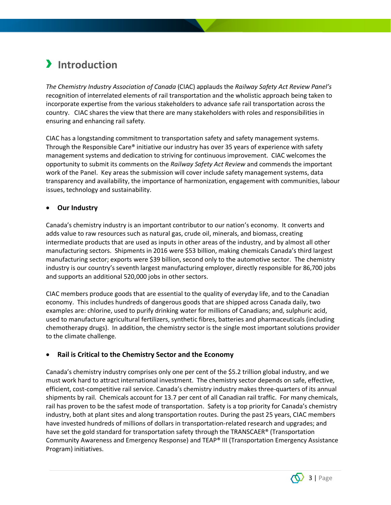# › **Introduction**

*The Chemistry Industry Association of Canada* (CIAC) applauds the *Railway Safety Act Review Panel's* recognition of interrelated elements of rail transportation and the wholistic approach being taken to incorporate expertise from the various stakeholders to advance safe rail transportation across the country. CIAC shares the view that there are many stakeholders with roles and responsibilities in ensuring and enhancing rail safety.

CIAC has a longstanding commitment to transportation safety and safety management systems. Through the Responsible Care® initiative our industry has over 35 years of experience with safety management systems and dedication to striving for continuous improvement. CIAC welcomes the opportunity to submit its comments on the *Railway Safety Act Review* and commends the important work of the Panel. Key areas the submission will cover include safety management systems, data transparency and availability, the importance of harmonization, engagement with communities, labour issues, technology and sustainability.

#### • **Our Industry**

Canada's chemistry industry is an important contributor to our nation's economy. It converts and adds value to raw resources such as natural gas, crude oil, minerals, and biomass, creating intermediate products that are used as inputs in other areas of the industry, and by almost all other manufacturing sectors. Shipments in 2016 were \$53 billion, making chemicals Canada's third largest manufacturing sector; exports were \$39 billion, second only to the automotive sector. The chemistry industry is our country's seventh largest manufacturing employer, directly responsible for 86,700 jobs and supports an additional 520,000 jobs in other sectors.

CIAC members produce goods that are essential to the quality of everyday life, and to the Canadian economy. This includes hundreds of dangerous goods that are shipped across Canada daily, two examples are: chlorine, used to purify drinking water for millions of Canadians; and, sulphuric acid, used to manufacture agricultural fertilizers, synthetic fibres, batteries and pharmaceuticals (including chemotherapy drugs). In addition, the chemistry sector is the single most important solutions provider to the climate challenge.

#### • **Rail is Critical to the Chemistry Sector and the Economy**

Canada's chemistry industry comprises only one per cent of the \$5.2 trillion global industry, and we must work hard to attract international investment. The chemistry sector depends on safe, effective, efficient, cost-competitive rail service. Canada's chemistry industry makes three-quarters of its annual shipments by rail. Chemicals account for 13.7 per cent of all Canadian rail traffic. For many chemicals, rail has proven to be the safest mode of transportation. Safety is a top priority for Canada's chemistry industry, both at plant sites and along transportation routes. During the past 25 years, CIAC members have invested hundreds of millions of dollars in transportation-related research and upgrades; and have set the gold standard for transportation safety through the TRANSCAER® (Transportation Community Awareness and Emergency Response) and TEAP® III (Transportation Emergency Assistance Program) initiatives.

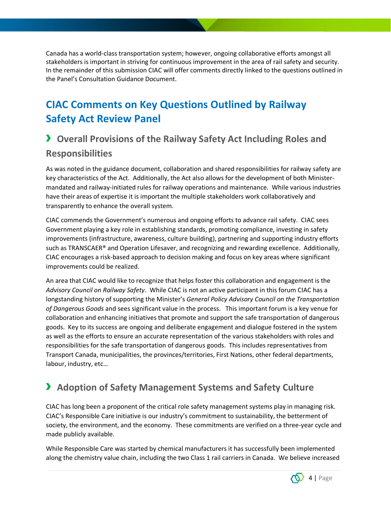Canada has a world-class transportation system; however, ongoing collaborative efforts amongst all stakeholders is important in striving for continuous improvement in the area of rail safety and security. In the remainder of this submission CIAC will offer comments directly linked to the questions outlined in the Panel's Consultation Guidance Document.

### **CIAC Comments on Key Questions Outlined by Railway Safety Act Review Panel**

### › **Overall Provisions of the Railway Safety Act Including Roles and Responsibilities**

As was noted in the guidance document, collaboration and shared responsibilities for railway safety are key characteristics of the Act. Additionally, the Act also allows for the development of both Ministermandated and railway-initiated rules for railway operations and maintenance. While various industries have their areas of expertise it is important the multiple stakeholders work collaboratively and transparently to enhance the overall system.

CIAC commends the Government's numerous and ongoing efforts to advance rail safety. CIAC sees Government playing a key role in establishing standards, promoting compliance, investing in safety improvements (infrastructure, awareness, culture building), partnering and supporting industry efforts such as TRANSCAER® and Operation Lifesaver, and recognizing and rewarding excellence. Additionally, CIAC encourages a risk-based approach to decision making and focus on key areas where significant improvements could be realized.

An area that CIAC would like to recognize that helps foster this collaboration and engagement is the *Advisory Council on Railway Safety*. While CIAC is not an active participant in this forum CIAC has a longstanding history of supporting the Minister's *General Policy Advisory Council on the Transportation of Dangerous Goods* and sees significant value in the process. This important forum is a key venue for collaboration and enhancing initiatives that promote and support the safe transportation of dangerous goods. Key to its success are ongoing and deliberate engagement and dialogue fostered in the system as well as the efforts to ensure an accurate representation of the various stakeholders with roles and responsibilities for the safe transportation of dangerous goods. This includes representatives from Transport Canada, municipalities, the provinces/territories, First Nations, other federal departments, labour, industry, etc…

### › **Adoption of Safety Management Systems and Safety Culture**

CIAC has long been a proponent of the critical role safety management systems play in managing risk. CIAC's Responsible Care initiative is our industry's commitment to sustainability, the betterment of society, the environment, and the economy. These commitments are verified on a three-year cycle and made publicly available.

While Responsible Care was started by chemical manufacturers it has successfully been implemented along the chemistry value chain, including the two Class 1 rail carriers in Canada. We believe increased

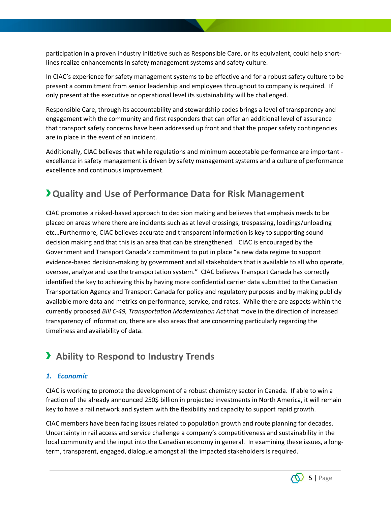participation in a proven industry initiative such as Responsible Care, or its equivalent, could help shortlines realize enhancements in safety management systems and safety culture.

In CIAC's experience for safety management systems to be effective and for a robust safety culture to be present a commitment from senior leadership and employees throughout to company is required. If only present at the executive or operational level its sustainability will be challenged.

Responsible Care, through its accountability and stewardship codes brings a level of transparency and engagement with the community and first responders that can offer an additional level of assurance that transport safety concerns have been addressed up front and that the proper safety contingencies are in place in the event of an incident.

Additionally, CIAC believes that while regulations and minimum acceptable performance are important excellence in safety management is driven by safety management systems and a culture of performance excellence and continuous improvement.

### ›**Quality and Use of Performance Data for Risk Management**

CIAC promotes a risked-based approach to decision making and believes that emphasis needs to be placed on areas where there are incidents such as at level crossings, trespassing, loadings/unloading etc…Furthermore, CIAC believes accurate and transparent information is key to supporting sound decision making and that this is an area that can be strengthened. CIAC is encouraged by the Government and Transport Canada*'s* commitment to put in place "a new data regime to support evidence-based decision-making by government and all stakeholders that is available to all who operate, oversee, analyze and use the transportation system." CIAC believes Transport Canada has correctly identified the key to achieving this by having more confidential carrier data submitted to the Canadian Transportation Agency and Transport Canada for policy and regulatory purposes and by making publicly available more data and metrics on performance, service, and rates. While there are aspects within the currently proposed *Bill C-49, Transportation Modernization Act* that move in the direction of increased transparency of information, there are also areas that are concerning particularly regarding the timeliness and availability of data.

### › **Ability to Respond to Industry Trends**

#### *1. Economic*

CIAC is working to promote the development of a robust chemistry sector in Canada. If able to win a fraction of the already announced 250\$ billion in projected investments in North America, it will remain key to have a rail network and system with the flexibility and capacity to support rapid growth.

CIAC members have been facing issues related to population growth and route planning for decades. Uncertainty in rail access and service challenge a company's competitiveness and sustainability in the local community and the input into the Canadian economy in general. In examining these issues, a longterm, transparent, engaged, dialogue amongst all the impacted stakeholders is required.

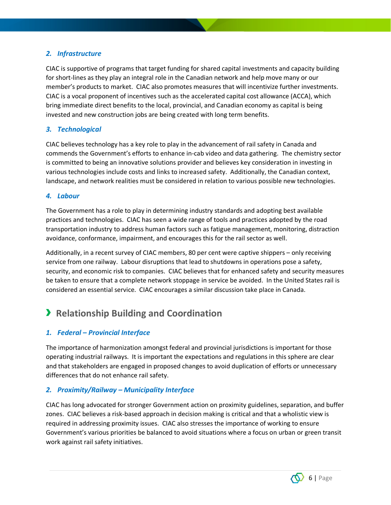#### *2. Infrastructure*

CIAC is supportive of programs that target funding for shared capital investments and capacity building for short-lines as they play an integral role in the Canadian network and help move many or our member's products to market. CIAC also promotes measures that will incentivize further investments. CIAC is a vocal proponent of incentives such as the accelerated capital cost allowance (ACCA), which bring immediate direct benefits to the local, provincial, and Canadian economy as capital is being invested and new construction jobs are being created with long term benefits.

#### *3. Technological*

CIAC believes technology has a key role to play in the advancement of rail safety in Canada and commends the Government's efforts to enhance in-cab video and data gathering. The chemistry sector is committed to being an innovative solutions provider and believes key consideration in investing in various technologies include costs and links to increased safety. Additionally, the Canadian context, landscape, and network realities must be considered in relation to various possible new technologies.

#### *4. Labour*

The Government has a role to play in determining industry standards and adopting best available practices and technologies. CIAC has seen a wide range of tools and practices adopted by the road transportation industry to address human factors such as fatigue management, monitoring, distraction avoidance, conformance, impairment, and encourages this for the rail sector as well.

Additionally, in a recent survey of CIAC members, 80 per cent were captive shippers – only receiving service from one railway. Labour disruptions that lead to shutdowns in operations pose a safety, security, and economic risk to companies. CIAC believes that for enhanced safety and security measures be taken to ensure that a complete network stoppage in service be avoided. In the United States rail is considered an essential service. CIAC encourages a similar discussion take place in Canada.

### › **Relationship Building and Coordination**

#### *1. Federal – Provincial Interface*

The importance of harmonization amongst federal and provincial jurisdictions is important for those operating industrial railways. It is important the expectations and regulations in this sphere are clear and that stakeholders are engaged in proposed changes to avoid duplication of efforts or unnecessary differences that do not enhance rail safety.

#### *2. Proximity/Railway – Municipality Interface*

CIAC has long advocated for stronger Government action on proximity guidelines, separation, and buffer zones. CIAC believes a risk-based approach in decision making is critical and that a wholistic view is required in addressing proximity issues. CIAC also stresses the importance of working to ensure Government's various priorities be balanced to avoid situations where a focus on urban or green transit work against rail safety initiatives.

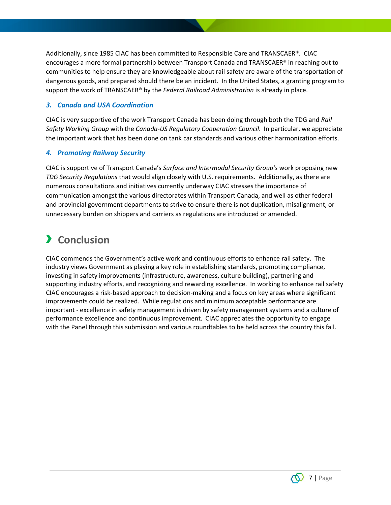Additionally, since 1985 CIAC has been committed to Responsible Care and TRANSCAER®. CIAC encourages a more formal partnership between Transport Canada and TRANSCAER® in reaching out to communities to help ensure they are knowledgeable about rail safety are aware of the transportation of dangerous goods, and prepared should there be an incident. In the United States, a granting program to support the work of TRANSCAER® by the *Federal Railroad Administration* is already in place.

#### *3. Canada and USA Coordination*

CIAC is very supportive of the work Transport Canada has been doing through both the TDG and *Rail Safety Working Group* with the *Canada-US Regulatory Cooperation Council*. In particular, we appreciate the important work that has been done on tank car standards and various other harmonization efforts.

#### *4. Promoting Railway Security*

CIAC is supportive of Transport Canada's *Surface and Intermodal Security Group's* work proposing new *TDG Security Regulations* that would align closely with U.S. requirements. Additionally, as there are numerous consultations and initiatives currently underway CIAC stresses the importance of communication amongst the various directorates within Transport Canada, and well as other federal and provincial government departments to strive to ensure there is not duplication, misalignment, or unnecessary burden on shippers and carriers as regulations are introduced or amended.

## › **Conclusion**

CIAC commends the Government's active work and continuous efforts to enhance rail safety. The industry views Government as playing a key role in establishing standards, promoting compliance, investing in safety improvements (infrastructure, awareness, culture building), partnering and supporting industry efforts, and recognizing and rewarding excellence. In working to enhance rail safety CIAC encourages a risk-based approach to decision-making and a focus on key areas where significant improvements could be realized. While regulations and minimum acceptable performance are important - excellence in safety management is driven by safety management systems and a culture of performance excellence and continuous improvement. CIAC appreciates the opportunity to engage with the Panel through this submission and various roundtables to be held across the country this fall.